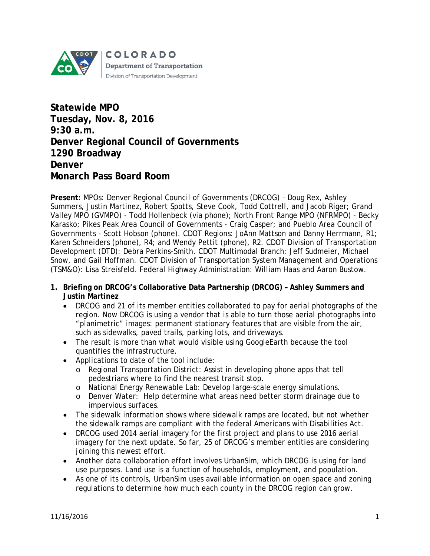

**Statewide MPO Tuesday, Nov. 8, 2016 9:30 a.m. Denver Regional Council of Governments 1290 Broadway Denver Monarch Pass Board Room** 

**Present:** MPOs: Denver Regional Council of Governments (DRCOG) – Doug Rex, Ashley Summers, Justin Martinez, Robert Spotts, Steve Cook, Todd Cottrell, and Jacob Riger; Grand Valley MPO (GVMPO) - Todd Hollenbeck (via phone); North Front Range MPO (NFRMPO) - Becky Karasko; Pikes Peak Area Council of Governments - Craig Casper; and Pueblo Area Council of Governments - Scott Hobson (phone). CDOT Regions: JoAnn Mattson and Danny Herrmann, R1; Karen Schneiders (phone), R4; and Wendy Pettit (phone), R2. CDOT Division of Transportation Development (DTD): Debra Perkins-Smith. CDOT Multimodal Branch: Jeff Sudmeier, Michael Snow, and Gail Hoffman. CDOT Division of Transportation System Management and Operations (TSM&O): Lisa Streisfeld. Federal Highway Administration: William Haas and Aaron Bustow.

- **1. Briefing on DRCOG's Collaborative Data Partnership (DRCOG) – Ashley Summers and Justin Martinez**
	- DRCOG and 21 of its member entities collaborated to pay for aerial photographs of the region. Now DRCOG is using a vendor that is able to turn those aerial photographs into "planimetric" images: permanent stationary features that are visible from the air, such as sidewalks, paved trails, parking lots, and driveways.
	- The result is more than what would visible using GoogleEarth because the tool quantifies the infrastructure.
	- Applications to date of the tool include:
		- o Regional Transportation District: Assist in developing phone apps that tell pedestrians where to find the nearest transit stop.
		- o National Energy Renewable Lab: Develop large-scale energy simulations.
		- o Denver Water: Help determine what areas need better storm drainage due to impervious surfaces.
	- The sidewalk information shows where sidewalk ramps are located, but not whether the sidewalk ramps are compliant with the federal Americans with Disabilities Act.
	- DRCOG used 2014 aerial imagery for the first project and plans to use 2016 aerial imagery for the next update. So far, 25 of DRCOG's member entities are considering joining this newest effort.
	- Another data collaboration effort involves UrbanSim, which DRCOG is using for land use purposes. Land use is a function of households, employment, and population.
	- As one of its controls, UrbanSim uses available information on open space and zoning regulations to determine how much each county in the DRCOG region can grow.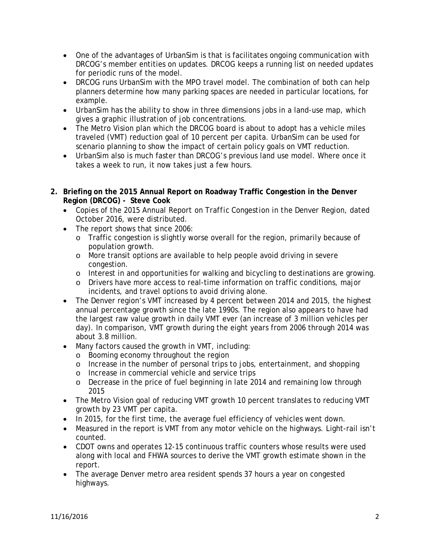- One of the advantages of UrbanSim is that is facilitates ongoing communication with DRCOG's member entities on updates. DRCOG keeps a running list on needed updates for periodic runs of the model.
- DRCOG runs UrbanSim with the MPO travel model. The combination of both can help planners determine how many parking spaces are needed in particular locations, for example.
- UrbanSim has the ability to show in three dimensions jobs in a land-use map, which gives a graphic illustration of job concentrations.
- The Metro Vision plan which the DRCOG board is about to adopt has a vehicle miles traveled (VMT) reduction goal of 10 percent per capita. UrbanSim can be used for scenario planning to show the impact of certain policy goals on VMT reduction.
- UrbanSim also is much faster than DRCOG's previous land use model. Where once it takes a week to run, it now takes just a few hours.
- **2. Briefing on the 2015 Annual Report on Roadway Traffic Congestion in the Denver Region (DRCOG) - Steve Cook**
	- Copies of the *2015 Annual Report on Traffic Congestion in the Denver Region*, dated October 2016, were distributed.
	- The report shows that since 2006:
		- o Traffic congestion is slightly worse overall for the region, primarily because of population growth.
		- o More transit options are available to help people avoid driving in severe congestion.
		- o Interest in and opportunities for walking and bicycling to destinations are growing.
		- o Drivers have more access to real-time information on traffic conditions, major incidents, and travel options to avoid driving alone.
	- The Denver region's VMT increased by 4 percent between 2014 and 2015, the highest annual percentage growth since the late 1990s. The region also appears to have had the largest raw value growth in daily VMT ever (an increase of 3 million vehicles per day). In comparison, VMT growth during the eight years from 2006 through 2014 was about 3.8 million.
	- Many factors caused the growth in VMT, including:
		- o Booming economy throughout the region
		- o Increase in the number of personal trips to jobs, entertainment, and shopping
		- o Increase in commercial vehicle and service trips
		- o Decrease in the price of fuel beginning in late 2014 and remaining low through 2015
	- The Metro Vision goal of reducing VMT growth 10 percent translates to reducing VMT growth by 23 VMT per capita.
	- In 2015, for the first time, the average fuel efficiency of vehicles went down.
	- Measured in the report is VMT from any motor vehicle on the highways. Light-rail isn't counted.
	- CDOT owns and operates 12-15 continuous traffic counters whose results were used along with local and FHWA sources to derive the VMT growth estimate shown in the report.
	- The average Denver metro area resident spends 37 hours a year on congested highways.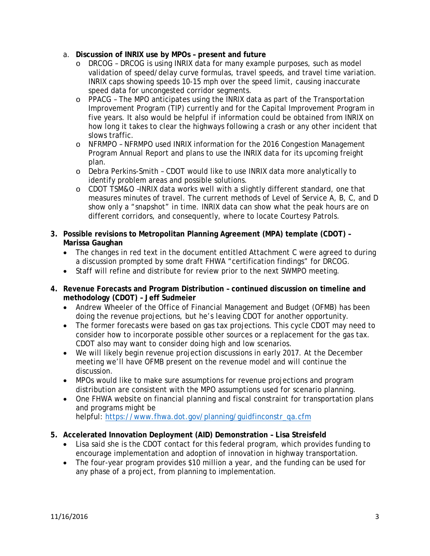- a. **Discussion of INRIX use by MPOs – present and future**
	- o DRCOG DRCOG is using INRIX data for many example purposes, such as model validation of speed/delay curve formulas, travel speeds, and travel time variation. INRIX caps showing speeds 10-15 mph over the speed limit, causing inaccurate speed data for uncongested corridor segments.
	- $\circ$  PPACG The MPO anticipates using the INRIX data as part of the Transportation Improvement Program (TIP) currently and for the Capital Improvement Program in five years. It also would be helpful if information could be obtained from INRIX on how long it takes to clear the highways following a crash or any other incident that slows traffic.
	- o NFRMPO NFRMPO used INRIX information for the 2016 Congestion Management Program Annual Report and plans to use the INRIX data for its upcoming freight plan.
	- o Debra Perkins-Smith CDOT would like to use INRIX data more analytically to identify problem areas and possible solutions.
	- o CDOT TSM&O –INRIX data works well with a slightly different standard, one that measures minutes of travel. The current methods of Level of Service A, B, C, and D show only a "snapshot" in time. INRIX data can show what the peak hours are on different corridors, and consequently, where to locate Courtesy Patrols.
- **3. Possible revisions to Metropolitan Planning Agreement (MPA) template (CDOT) – Marissa Gaughan**
	- The changes in red text in the document entitled Attachment C were agreed to during a discussion prompted by some draft FHWA "certification findings" for DRCOG.
	- Staff will refine and distribute for review prior to the next SWMPO meeting.
- **4. Revenue Forecasts and Program Distribution – continued discussion on timeline and methodology (CDOT) – Jeff Sudmeier**
	- Andrew Wheeler of the Office of Financial Management and Budget (OFMB) has been doing the revenue projections, but he's leaving CDOT for another opportunity.
	- The former forecasts were based on gas tax projections. This cycle CDOT may need to consider how to incorporate possible other sources or a replacement for the gas tax. CDOT also may want to consider doing high and low scenarios.
	- We will likely begin revenue projection discussions in early 2017. At the December meeting we'll have OFMB present on the revenue model and will continue the discussion.
	- MPOs would like to make sure assumptions for revenue projections and program distribution are consistent with the MPO assumptions used for scenario planning.
	- One FHWA website on financial planning and fiscal constraint for transportation plans and programs might be

helpful: [https://www.fhwa.dot.gov/planning/guidfinconstr\\_qa.cfm](https://www.fhwa.dot.gov/planning/guidfinconstr_qa.cfm)

- **5. Accelerated Innovation Deployment (AID) Demonstration – Lisa Streisfeld**
	- Lisa said she is the CDOT contact for this federal program, which provides funding to encourage implementation and adoption of innovation in highway transportation.
	- The four-year program provides \$10 million a year, and the funding can be used for any phase of a project, from planning to implementation.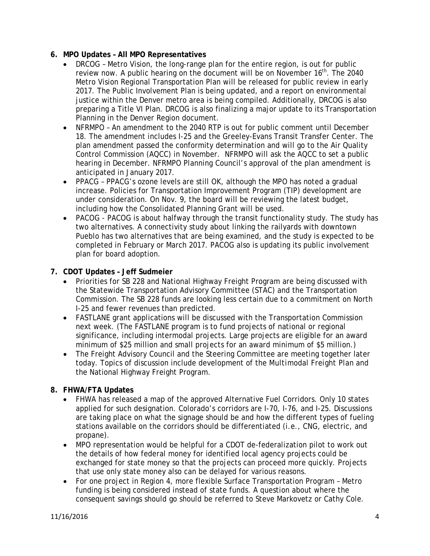## **6. MPO Updates – All MPO Representatives**

- DRCOG Metro Vision, the long-range plan for the entire region, is out for public review now. A public hearing on the document will be on November 16<sup>th</sup>. The 2040 Metro Vision Regional Transportation Plan will be released for public review in early 2017. The Public Involvement Plan is being updated, and a report on environmental justice within the Denver metro area is being compiled. Additionally, DRCOG is also preparing a Title VI Plan. DRCOG is also finalizing a major update to its Transportation Planning in the Denver Region document.
- NFRMPO An amendment to the 2040 RTP is out for public comment until December 18. The amendment includes I-25 and the Greeley-Evans Transit Transfer Center. The plan amendment passed the conformity determination and will go to the Air Quality Control Commission (AQCC) in November. NFRMPO will ask the AQCC to set a public hearing in December. NFRMPO Planning Council's approval of the plan amendment is anticipated in January 2017.
- PPACG PPACG's ozone levels are still OK, although the MPO has noted a gradual increase. Policies for Transportation Improvement Program (TIP) development are under consideration. On Nov. 9, the board will be reviewing the latest budget, including how the Consolidated Planning Grant will be used.
- PACOG PACOG is about halfway through the transit functionality study. The study has two alternatives. A connectivity study about linking the railyards with downtown Pueblo has two alternatives that are being examined, and the study is expected to be completed in February or March 2017. PACOG also is updating its public involvement plan for board adoption.

## **7. CDOT Updates – Jeff Sudmeier**

- Priorities for SB 228 and National Highway Freight Program are being discussed with the Statewide Transportation Advisory Committee (STAC) and the Transportation Commission. The SB 228 funds are looking less certain due to a commitment on North I-25 and fewer revenues than predicted.
- FASTLANE grant applications will be discussed with the Transportation Commission next week. (The FASTLANE program is to fund projects of national or regional significance, including intermodal projects. Large projects are eligible for an award minimum of \$25 million and small projects for an award minimum of \$5 million.)
- The Freight Advisory Council and the Steering Committee are meeting together later today. Topics of discussion include development of the *Multimodal Freight Plan* and the National Highway Freight Program.

## **8. FHWA/FTA Updates**

- FHWA has released a map of the approved Alternative Fuel Corridors. Only 10 states applied for such designation. Colorado's corridors are I-70, I-76, and I-25. Discussions are taking place on what the signage should be and how the different types of fueling stations available on the corridors should be differentiated (i.e., CNG, electric, and propane).
- MPO representation would be helpful for a CDOT de-federalization pilot to work out the details of how federal money for identified local agency projects could be exchanged for state money so that the projects can proceed more quickly. Projects that use only state money also can be delayed for various reasons.
- For one project in Region 4, more flexible Surface Transportation Program Metro funding is being considered instead of state funds. A question about where the consequent savings should go should be referred to Steve Markovetz or Cathy Cole.